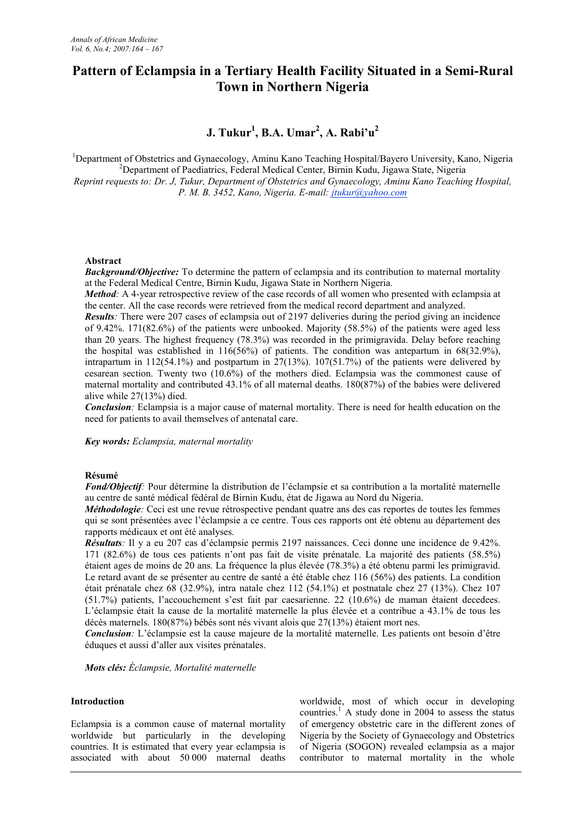# **Pattern of Eclampsia in a Tertiary Health Facility Situated in a Semi-Rural Town in Northern Nigeria**

# **J. Tukur<sup>1</sup> , B.A. Umar<sup>2</sup> , A. Rabi'u<sup>2</sup>**

<sup>1</sup>Department of Obstetrics and Gynaecology, Aminu Kano Teaching Hospital/Bayero University, Kano, Nigeria <sup>2</sup>Department of Paediatrics, Federal Medical Center, Birnin Kudu, Jigawa State, Nigeria *Reprint requests to: Dr. J, Tukur, Department of Obstetrics and Gynaecology, Aminu Kano Teaching Hospital, P. M. B. 3452, Kano, Nigeria. E-mail: jtukur@yahoo.com*

## **Abstract**

*Background/Objective:* To determine the pattern of eclampsia and its contribution to maternal mortality at the Federal Medical Centre, Birnin Kudu, Jigawa State in Northern Nigeria.

*Method*: A 4-year retrospective review of the case records of all women who presented with eclampsia at the center. All the case records were retrieved from the medical record department and analyzed.

*Results*: There were 207 cases of eclampsia out of 2197 deliveries during the period giving an incidence of 9.42%. 171(82.6%) of the patients were unbooked. Majority (58.5%) of the patients were aged less than 20 years. The highest frequency (78.3%) was recorded in the primigravida. Delay before reaching the hospital was established in 116(56%) of patients. The condition was antepartum in 68(32.9%), intrapartum in 112(54.1%) and postpartum in  $27(13%)$ . 107(51.7%) of the patients were delivered by cesarean section. Twenty two (10.6%) of the mothers died. Eclampsia was the commonest cause of maternal mortality and contributed 43.1% of all maternal deaths. 180(87%) of the babies were delivered alive while 27(13%) died.

*Conclusion:* Eclampsia is a major cause of maternal mortality. There is need for health education on the need for patients to avail themselves of antenatal care.

*Key words: Eclampsia, maternal mortality*

### **Résumé**

*Fond/Objectif:* Pour détermine la distribution de l'éclampsie et sa contribution a la mortalité maternelle au centre de santé médical fédéral de Birnin Kudu, état de Jigawa au Nord du Nigeria.

*Méthodologie*: Ceci est une revue rétrospective pendant quatre ans des cas reportes de toutes les femmes qui se sont présentées avec l'éclampsie a ce centre. Tous ces rapports ont été obtenu au département des rapports médicaux et ont été analyses.

*Résultats:* Il y a eu 207 cas d'éclampsie permis 2197 naissances. Ceci donne une incidence de 9.42%. 171 (82.6%) de tous ces patients n'ont pas fait de visite prénatale. La majorité des patients (58.5%) étaient ages de moins de 20 ans. La fréquence la plus élevée (78.3%) a été obtenu parmi les primigravid. Le retard avant de se présenter au centre de santé a été étable chez 116 (56%) des patients. La condition était prénatale chez 68 (32.9%), intra natale chez 112 (54.1%) et postnatale chez 27 (13%). Chez 107 (51.7%) patients, l'accouchement s'est fait par caesarienne. 22 (10.6%) de maman étaient decedees. L'éclampsie était la cause de la mortalité maternelle la plus élevée et a contribue a 43.1% de tous les décès maternels. 180(87%) bébés sont nés vivant alois que 27(13%) étaient mort nes.

*Conclusion:* L'éclampsie est la cause majeure de la mortalité maternelle. Les patients ont besoin d'être éduques et aussi d'aller aux visites prénatales.

*Mots clés: Éclampsie, Mortalité maternelle*

### **Introduction**

Eclampsia is a common cause of maternal mortality worldwide but particularly in the developing countries. It is estimated that every year eclampsia is associated with about 50 000 maternal deaths

worldwide, most of which occur in developing countries.<sup>1</sup> A study done in 2004 to assess the status of emergency obstetric care in the different zones of Nigeria by the Society of Gynaecology and Obstetrics of Nigeria (SOGON) revealed eclampsia as a major contributor to maternal mortality in the whole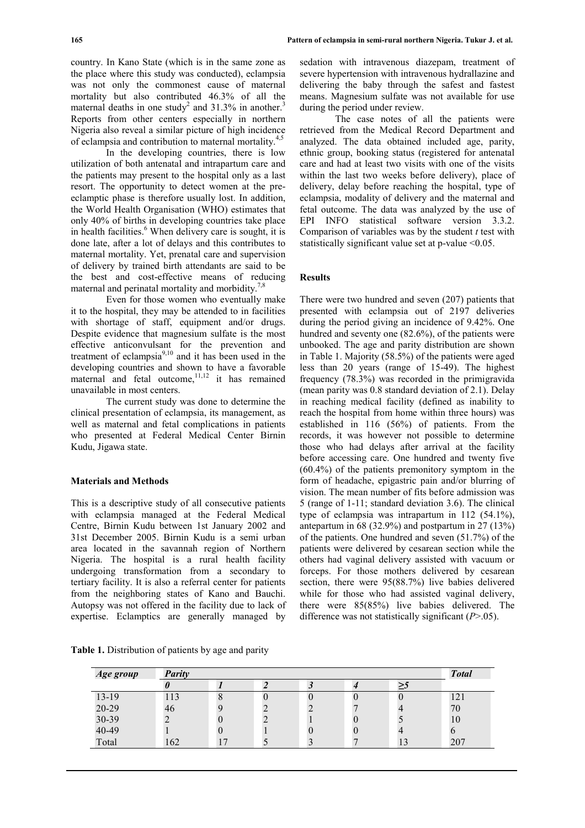country. In Kano State (which is in the same zone as the place where this study was conducted), eclampsia was not only the commonest cause of maternal mortality but also contributed 46.3% of all the maternal deaths in one study<sup>2</sup> and 31.3% in another.<sup>3</sup> Reports from other centers especially in northern Nigeria also reveal a similar picture of high incidence of eclampsia and contribution to maternal mortality.4,5

In the developing countries, there is low utilization of both antenatal and intrapartum care and the patients may present to the hospital only as a last resort. The opportunity to detect women at the preeclamptic phase is therefore usually lost. In addition, the World Health Organisation (WHO) estimates that only 40% of births in developing countries take place in health facilities.<sup>6</sup> When delivery care is sought, it is done late, after a lot of delays and this contributes to maternal mortality. Yet, prenatal care and supervision of delivery by trained birth attendants are said to be the best and cost-effective means of reducing maternal and perinatal mortality and morbidity.<sup>7,8</sup>

Even for those women who eventually make it to the hospital, they may be attended to in facilities with shortage of staff, equipment and/or drugs. Despite evidence that magnesium sulfate is the most effective anticonvulsant for the prevention and treatment of eclampsia $9,10$  and it has been used in the developing countries and shown to have a favorable maternal and fetal outcome,<sup>11,12</sup> it has remained unavailable in most centers.

The current study was done to determine the clinical presentation of eclampsia, its management, as well as maternal and fetal complications in patients who presented at Federal Medical Center Birnin Kudu, Jigawa state.

### **Materials and Methods**

This is a descriptive study of all consecutive patients with eclampsia managed at the Federal Medical Centre, Birnin Kudu between 1st January 2002 and 31st December 2005. Birnin Kudu is a semi urban area located in the savannah region of Northern Nigeria. The hospital is a rural health facility undergoing transformation from a secondary to tertiary facility. It is also a referral center for patients from the neighboring states of Kano and Bauchi. Autopsy was not offered in the facility due to lack of expertise. Eclamptics are generally managed by

**Table 1.** Distribution of patients by age and parity

| Age group | <b>Parity</b> |                      |  |   |  |    | <b>Total</b> |
|-----------|---------------|----------------------|--|---|--|----|--------------|
|           |               |                      |  |   |  | د≤ |              |
| $13-19$   | 113           | O                    |  |   |  |    | 121          |
| 20-29     | 46            |                      |  | ∠ |  |    | 70           |
| 30-39     |               |                      |  |   |  |    | 10           |
| 40-49     |               |                      |  |   |  |    |              |
| Total     | 162           | $\overline{ }$<br>17 |  |   |  | 12 | 207          |

sedation with intravenous diazepam, treatment of severe hypertension with intravenous hydrallazine and delivering the baby through the safest and fastest means. Magnesium sulfate was not available for use during the period under review.

The case notes of all the patients were retrieved from the Medical Record Department and analyzed. The data obtained included age, parity, ethnic group, booking status (registered for antenatal care and had at least two visits with one of the visits within the last two weeks before delivery), place of delivery, delay before reaching the hospital, type of eclampsia, modality of delivery and the maternal and fetal outcome. The data was analyzed by the use of EPI INFO statistical software version 3.3.2. Comparison of variables was by the student *t* test with statistically significant value set at p-value <0.05.

#### **Results**

There were two hundred and seven (207) patients that presented with eclampsia out of 2197 deliveries during the period giving an incidence of 9.42%. One hundred and seventy one (82.6%), of the patients were unbooked. The age and parity distribution are shown in Table 1. Majority (58.5%) of the patients were aged less than 20 years (range of 15-49). The highest frequency (78.3%) was recorded in the primigravida (mean parity was 0.8 standard deviation of 2.1). Delay in reaching medical facility (defined as inability to reach the hospital from home within three hours) was established in 116 (56%) of patients. From the records, it was however not possible to determine those who had delays after arrival at the facility before accessing care. One hundred and twenty five (60.4%) of the patients premonitory symptom in the form of headache, epigastric pain and/or blurring of vision. The mean number of fits before admission was 5 (range of 1-11; standard deviation 3.6). The clinical type of eclampsia was intrapartum in 112 (54.1%), antepartum in 68 (32.9%) and postpartum in 27 (13%) of the patients. One hundred and seven (51.7%) of the patients were delivered by cesarean section while the others had vaginal delivery assisted with vacuum or forceps. For those mothers delivered by cesarean section, there were 95(88.7%) live babies delivered while for those who had assisted vaginal delivery, there were 85(85%) live babies delivered. The difference was not statistically significant (*P*>.05).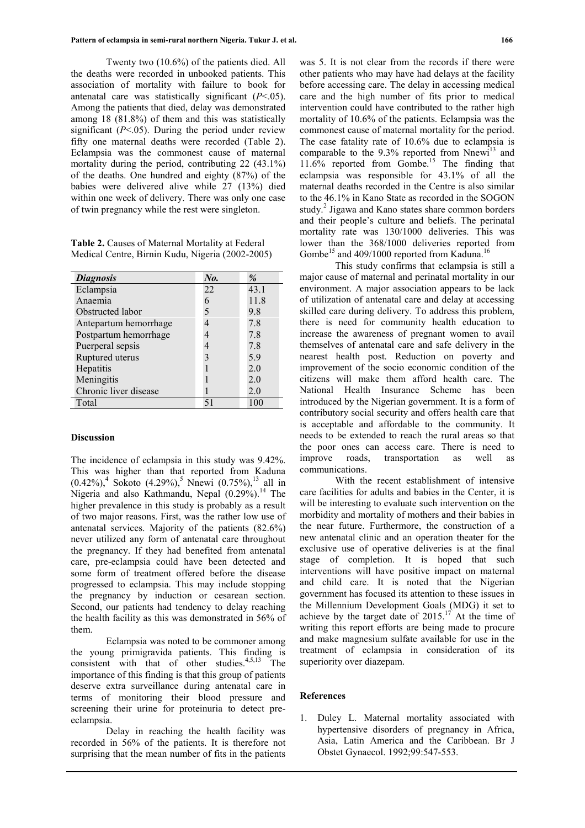Twenty two (10.6%) of the patients died. All the deaths were recorded in unbooked patients. This association of mortality with failure to book for antenatal care was statistically significant (*P*<.05). Among the patients that died, delay was demonstrated among 18 (81.8%) of them and this was statistically significant  $(P<.05)$ . During the period under review fifty one maternal deaths were recorded (Table 2). Eclampsia was the commonest cause of maternal mortality during the period, contributing 22 (43.1%) of the deaths. One hundred and eighty (87%) of the babies were delivered alive while 27 (13%) died within one week of delivery. There was only one case of twin pregnancy while the rest were singleton.

**Table 2.** Causes of Maternal Mortality at Federal Medical Centre, Birnin Kudu, Nigeria (2002-2005)

| <b>Diagnosis</b>      | No. | $\%$ |
|-----------------------|-----|------|
| Eclampsia             | 22  | 43.1 |
| Anaemia               | 6   | 11.8 |
| Obstructed labor      | 5   | 9.8  |
| Antepartum hemorrhage |     | 7.8  |
| Postpartum hemorrhage |     | 7.8  |
| Puerperal sepsis      | 4   | 7.8  |
| Ruptured uterus       | 3   | 5.9  |
| Hepatitis             |     | 2.0  |
| Meningitis            |     | 2.0  |
| Chronic liver disease |     | 2.0  |
| Total                 | 51  | 100  |

#### **Discussion**

The incidence of eclampsia in this study was 9.42%. This was higher than that reported from Kaduna  $(0.42\%)$ <sup>4</sup> Sokoto  $(4.29\%)$ <sup>5</sup> Nnewi  $(0.75\%)$ <sup>13</sup> all in Nigeria and also Kathmandu, Nepal  $(0.29\%)$ <sup>14</sup> The higher prevalence in this study is probably as a result of two major reasons. First, was the rather low use of antenatal services. Majority of the patients (82.6%) never utilized any form of antenatal care throughout the pregnancy. If they had benefited from antenatal care, pre-eclampsia could have been detected and some form of treatment offered before the disease progressed to eclampsia. This may include stopping the pregnancy by induction or cesarean section. Second, our patients had tendency to delay reaching the health facility as this was demonstrated in 56% of them.

Eclampsia was noted to be commoner among the young primigravida patients. This finding is consistent with that of other studies. $4,5,13$  The importance of this finding is that this group of patients deserve extra surveillance during antenatal care in terms of monitoring their blood pressure and screening their urine for proteinuria to detect preeclampsia.

Delay in reaching the health facility was recorded in 56% of the patients. It is therefore not surprising that the mean number of fits in the patients

was 5. It is not clear from the records if there were other patients who may have had delays at the facility before accessing care. The delay in accessing medical care and the high number of fits prior to medical intervention could have contributed to the rather high mortality of 10.6% of the patients. Eclampsia was the commonest cause of maternal mortality for the period. The case fatality rate of 10.6% due to eclampsia is comparable to the  $9.3\%$  reported from Nnewi<sup>13</sup> and  $11.6\%$  reported from Gombe.<sup>15</sup> The finding that eclampsia was responsible for 43.1% of all the maternal deaths recorded in the Centre is also similar to the 46.1% in Kano State as recorded in the SOGON study.<sup>2</sup> Jigawa and Kano states share common borders and their people's culture and beliefs. The perinatal mortality rate was 130/1000 deliveries. This was lower than the 368/1000 deliveries reported from Gombe<sup>15</sup> and 409/1000 reported from Kaduna.<sup>16</sup>

This study confirms that eclampsia is still a major cause of maternal and perinatal mortality in our environment. A major association appears to be lack of utilization of antenatal care and delay at accessing skilled care during delivery. To address this problem, there is need for community health education to increase the awareness of pregnant women to avail themselves of antenatal care and safe delivery in the nearest health post. Reduction on poverty and improvement of the socio economic condition of the citizens will make them afford health care. The National Health Insurance Scheme has been introduced by the Nigerian government. It is a form of contributory social security and offers health care that is acceptable and affordable to the community. It needs to be extended to reach the rural areas so that the poor ones can access care. There is need to improve roads, transportation as well as communications.

With the recent establishment of intensive care facilities for adults and babies in the Center, it is will be interesting to evaluate such intervention on the morbidity and mortality of mothers and their babies in the near future. Furthermore, the construction of a new antenatal clinic and an operation theater for the exclusive use of operative deliveries is at the final stage of completion. It is hoped that such interventions will have positive impact on maternal and child care. It is noted that the Nigerian government has focused its attention to these issues in the Millennium Development Goals (MDG) it set to achieve by the target date of  $2015$ .<sup>17</sup> At the time of writing this report efforts are being made to procure and make magnesium sulfate available for use in the treatment of eclampsia in consideration of its superiority over diazepam.

#### **References**

1. Duley L. Maternal mortality associated with hypertensive disorders of pregnancy in Africa, Asia, Latin America and the Caribbean. Br J Obstet Gynaecol. 1992;99:547-553.